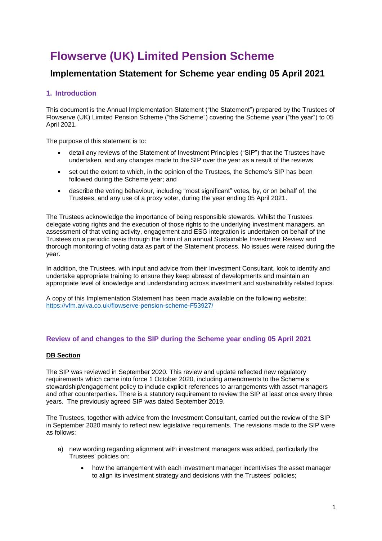# **Flowserve (UK) Limited Pension Scheme**

# **Implementation Statement for Scheme year ending 05 April 2021**

## **1. Introduction**

This document is the Annual Implementation Statement ("the Statement") prepared by the Trustees of Flowserve (UK) Limited Pension Scheme ("the Scheme") covering the Scheme year ("the year") to 05 April 2021.

The purpose of this statement is to:

- detail any reviews of the Statement of Investment Principles ("SIP") that the Trustees have undertaken, and any changes made to the SIP over the year as a result of the reviews
- set out the extent to which, in the opinion of the Trustees, the Scheme's SIP has been followed during the Scheme year; and
- describe the voting behaviour, including "most significant" votes, by, or on behalf of, the Trustees, and any use of a proxy voter, during the year ending 05 April 2021.

The Trustees acknowledge the importance of being responsible stewards. Whilst the Trustees delegate voting rights and the execution of those rights to the underlying investment managers, an assessment of that voting activity, engagement and ESG integration is undertaken on behalf of the Trustees on a periodic basis through the form of an annual Sustainable Investment Review and thorough monitoring of voting data as part of the Statement process. No issues were raised during the year.

In addition, the Trustees, with input and advice from their Investment Consultant, look to identify and undertake appropriate training to ensure they keep abreast of developments and maintain an appropriate level of knowledge and understanding across investment and sustainability related topics.

A copy of this Implementation Statement has been made available on the following website: <https://vfm.aviva.co.uk/flowserve-pension-scheme-F53927/>

#### **Review of and changes to the SIP during the Scheme year ending 05 April 2021**

#### **DB Section**

The SIP was reviewed in September 2020. This review and update reflected new regulatory requirements which came into force 1 October 2020, including amendments to the Scheme's stewardship/engagement policy to include explicit references to arrangements with asset managers and other counterparties. There is a statutory requirement to review the SIP at least once every three years. The previously agreed SIP was dated September 2019.

The Trustees, together with advice from the Investment Consultant, carried out the review of the SIP in September 2020 mainly to reflect new legislative requirements. The revisions made to the SIP were as follows:

- a) new wording regarding alignment with investment managers was added, particularly the Trustees' policies on:
	- how the arrangement with each investment manager incentivises the asset manager to align its investment strategy and decisions with the Trustees' policies;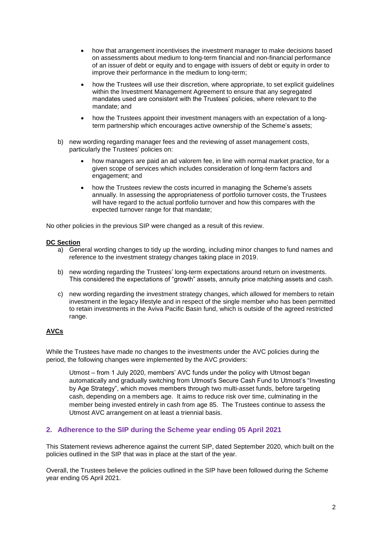- how that arrangement incentivises the investment manager to make decisions based on assessments about medium to long-term financial and non-financial performance of an issuer of debt or equity and to engage with issuers of debt or equity in order to improve their performance in the medium to long-term;
- how the Trustees will use their discretion, where appropriate, to set explicit guidelines within the Investment Management Agreement to ensure that any segregated mandates used are consistent with the Trustees' policies, where relevant to the mandate; and
- how the Trustees appoint their investment managers with an expectation of a longterm partnership which encourages active ownership of the Scheme's assets;
- b) new wording regarding manager fees and the reviewing of asset management costs, particularly the Trustees' policies on:
	- how managers are paid an ad valorem fee, in line with normal market practice, for a given scope of services which includes consideration of long-term factors and engagement; and
	- how the Trustees review the costs incurred in managing the Scheme's assets annually. In assessing the appropriateness of portfolio turnover costs, the Trustees will have regard to the actual portfolio turnover and how this compares with the expected turnover range for that mandate;

No other policies in the previous SIP were changed as a result of this review.

#### **DC Section**

- a) General wording changes to tidy up the wording, including minor changes to fund names and reference to the investment strategy changes taking place in 2019.
- b) new wording regarding the Trustees' long-term expectations around return on investments. This considered the expectations of "growth" assets, annuity price matching assets and cash.
- c) new wording regarding the investment strategy changes, which allowed for members to retain investment in the legacy lifestyle and in respect of the single member who has been permitted to retain investments in the Aviva Pacific Basin fund, which is outside of the agreed restricted range.

## **AVCs**

While the Trustees have made no changes to the investments under the AVC policies during the period, the following changes were implemented by the AVC providers:

Utmost – from 1 July 2020, members' AVC funds under the policy with Utmost began automatically and gradually switching from Utmost's Secure Cash Fund to Utmost's "Investing by Age Strategy", which moves members through two multi-asset funds, before targeting cash, depending on a members age. It aims to reduce risk over time, culminating in the member being invested entirely in cash from age 85. The Trustees continue to assess the Utmost AVC arrangement on at least a triennial basis.

## **2. Adherence to the SIP during the Scheme year ending 05 April 2021**

This Statement reviews adherence against the current SIP, dated September 2020, which built on the policies outlined in the SIP that was in place at the start of the year.

Overall, the Trustees believe the policies outlined in the SIP have been followed during the Scheme year ending 05 April 2021.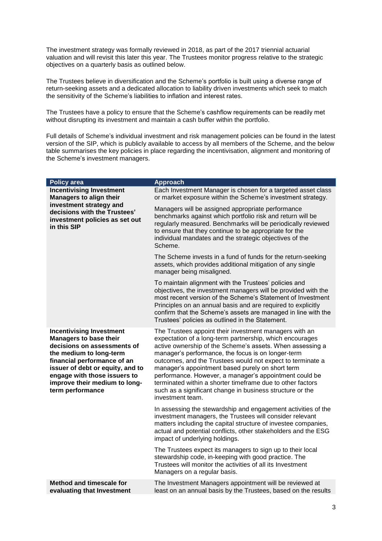The investment strategy was formally reviewed in 2018, as part of the 2017 triennial actuarial valuation and will revisit this later this year. The Trustees monitor progress relative to the strategic objectives on a quarterly basis as outlined below.

The Trustees believe in diversification and the Scheme's portfolio is built using a diverse range of return-seeking assets and a dedicated allocation to liability driven investments which seek to match the sensitivity of the Scheme's liabilities to inflation and interest rates.

The Trustees have a policy to ensure that the Scheme's cashflow requirements can be readily met without disrupting its investment and maintain a cash buffer within the portfolio.

Full details of Scheme's individual investment and risk management policies can be found in the latest version of the SIP, which is publicly available to access by all members of the Scheme, and the below table summarises the key policies in place regarding the incentivisation, alignment and monitoring of the Scheme's investment managers.

| <b>Policy area</b>                                                                                                                                                                                                                                                                 | <b>Approach</b>                                                                                                                                                                                                                                                                                                                                                                                                                                                                                                                                                  |
|------------------------------------------------------------------------------------------------------------------------------------------------------------------------------------------------------------------------------------------------------------------------------------|------------------------------------------------------------------------------------------------------------------------------------------------------------------------------------------------------------------------------------------------------------------------------------------------------------------------------------------------------------------------------------------------------------------------------------------------------------------------------------------------------------------------------------------------------------------|
| <b>Incentivising Investment</b><br><b>Managers to align their</b>                                                                                                                                                                                                                  | Each Investment Manager is chosen for a targeted asset class<br>or market exposure within the Scheme's investment strategy.                                                                                                                                                                                                                                                                                                                                                                                                                                      |
| investment strategy and<br>decisions with the Trustees'<br>investment policies as set out<br>in this SIP                                                                                                                                                                           | Managers will be assigned appropriate performance<br>benchmarks against which portfolio risk and return will be<br>regularly measured. Benchmarks will be periodically reviewed<br>to ensure that they continue to be appropriate for the<br>individual mandates and the strategic objectives of the<br>Scheme.                                                                                                                                                                                                                                                  |
|                                                                                                                                                                                                                                                                                    | The Scheme invests in a fund of funds for the return-seeking<br>assets, which provides additional mitigation of any single<br>manager being misaligned.                                                                                                                                                                                                                                                                                                                                                                                                          |
|                                                                                                                                                                                                                                                                                    | To maintain alignment with the Trustees' policies and<br>objectives, the investment managers will be provided with the<br>most recent version of the Scheme's Statement of Investment<br>Principles on an annual basis and are required to explicitly<br>confirm that the Scheme's assets are managed in line with the<br>Trustees' policies as outlined in the Statement.                                                                                                                                                                                       |
| <b>Incentivising Investment</b><br><b>Managers to base their</b><br>decisions on assessments of<br>the medium to long-term<br>financial performance of an<br>issuer of debt or equity, and to<br>engage with those issuers to<br>improve their medium to long-<br>term performance | The Trustees appoint their investment managers with an<br>expectation of a long-term partnership, which encourages<br>active ownership of the Scheme's assets. When assessing a<br>manager's performance, the focus is on longer-term<br>outcomes, and the Trustees would not expect to terminate a<br>manager's appointment based purely on short term<br>performance. However, a manager's appointment could be<br>terminated within a shorter timeframe due to other factors<br>such as a significant change in business structure or the<br>investment team. |
|                                                                                                                                                                                                                                                                                    | In assessing the stewardship and engagement activities of the<br>investment managers, the Trustees will consider relevant<br>matters including the capital structure of investee companies,<br>actual and potential conflicts, other stakeholders and the ESG<br>impact of underlying holdings.                                                                                                                                                                                                                                                                  |
|                                                                                                                                                                                                                                                                                    | The Trustees expect its managers to sign up to their local<br>stewardship code, in-keeping with good practice. The<br>Trustees will monitor the activities of all its Investment<br>Managers on a regular basis.                                                                                                                                                                                                                                                                                                                                                 |
| <b>Method and timescale for</b><br>evaluating that Investment                                                                                                                                                                                                                      | The Investment Managers appointment will be reviewed at<br>least on an annual basis by the Trustees, based on the results                                                                                                                                                                                                                                                                                                                                                                                                                                        |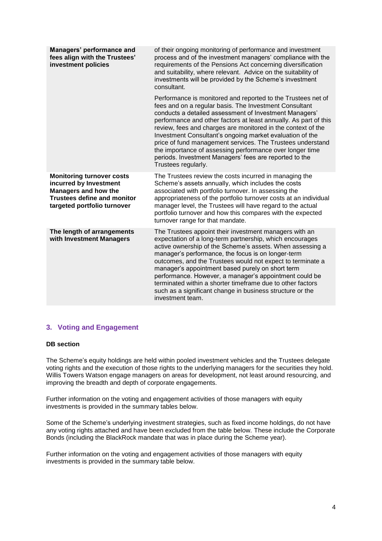| Managers' performance and<br>fees align with the Trustees'<br>investment policies                                                                              | of their ongoing monitoring of performance and investment<br>process and of the investment managers' compliance with the<br>requirements of the Pensions Act concerning diversification<br>and suitability, where relevant. Advice on the suitability of<br>investments will be provided by the Scheme's investment<br>consultant.                                                                                                                                                                                                                                                          |
|----------------------------------------------------------------------------------------------------------------------------------------------------------------|---------------------------------------------------------------------------------------------------------------------------------------------------------------------------------------------------------------------------------------------------------------------------------------------------------------------------------------------------------------------------------------------------------------------------------------------------------------------------------------------------------------------------------------------------------------------------------------------|
|                                                                                                                                                                | Performance is monitored and reported to the Trustees net of<br>fees and on a regular basis. The Investment Consultant<br>conducts a detailed assessment of Investment Managers'<br>performance and other factors at least annually. As part of this<br>review, fees and charges are monitored in the context of the<br>Investment Consultant's ongoing market evaluation of the<br>price of fund management services. The Trustees understand<br>the importance of assessing performance over longer time<br>periods. Investment Managers' fees are reported to the<br>Trustees regularly. |
| <b>Monitoring turnover costs</b><br>incurred by Investment<br><b>Managers and how the</b><br><b>Trustees define and monitor</b><br>targeted portfolio turnover | The Trustees review the costs incurred in managing the<br>Scheme's assets annually, which includes the costs<br>associated with portfolio turnover. In assessing the<br>appropriateness of the portfolio turnover costs at an individual<br>manager level, the Trustees will have regard to the actual<br>portfolio turnover and how this compares with the expected<br>turnover range for that mandate.                                                                                                                                                                                    |
| The length of arrangements<br>with Investment Managers                                                                                                         | The Trustees appoint their investment managers with an<br>expectation of a long-term partnership, which encourages<br>active ownership of the Scheme's assets. When assessing a<br>manager's performance, the focus is on longer-term<br>outcomes, and the Trustees would not expect to terminate a<br>manager's appointment based purely on short term<br>performance. However, a manager's appointment could be<br>terminated within a shorter timeframe due to other factors<br>such as a significant change in business structure or the<br>investment team.                            |

## **3. Voting and Engagement**

#### **DB section**

The Scheme's equity holdings are held within pooled investment vehicles and the Trustees delegate voting rights and the execution of those rights to the underlying managers for the securities they hold. Willis Towers Watson engage managers on areas for development, not least around resourcing, and improving the breadth and depth of corporate engagements.

Further information on the voting and engagement activities of those managers with equity investments is provided in the summary tables below.

Some of the Scheme's underlying investment strategies, such as fixed income holdings, do not have any voting rights attached and have been excluded from the table below. These include the Corporate Bonds (including the BlackRock mandate that was in place during the Scheme year).

Further information on the voting and engagement activities of those managers with equity investments is provided in the summary table below.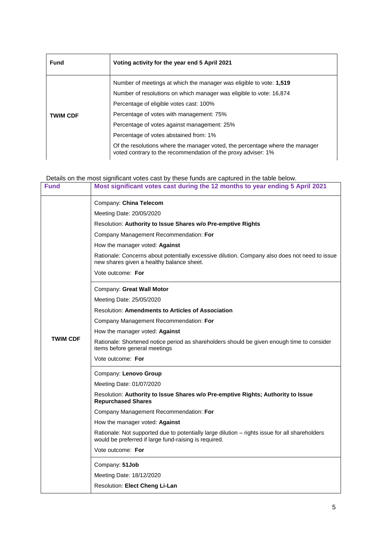| <b>Fund</b>     | Voting activity for the year end 5 April 2021                                                                                                 |
|-----------------|-----------------------------------------------------------------------------------------------------------------------------------------------|
|                 | Number of meetings at which the manager was eligible to vote: 1,519                                                                           |
|                 | Number of resolutions on which manager was eligible to vote: 16,874                                                                           |
|                 | Percentage of eligible votes cast: 100%                                                                                                       |
| <b>TWIM CDF</b> | Percentage of votes with management: 75%                                                                                                      |
|                 | Percentage of votes against management: 25%                                                                                                   |
|                 | Percentage of votes abstained from: 1%                                                                                                        |
|                 | Of the resolutions where the manager voted, the percentage where the manager<br>voted contrary to the recommendation of the proxy adviser: 1% |

Details on the most significant votes cast by these funds are captured in the table below.

| <b>Fund</b>     | Most significant votes cast during the 12 months to year ending 5 April 2021                                                                            |
|-----------------|---------------------------------------------------------------------------------------------------------------------------------------------------------|
|                 | Company: China Telecom                                                                                                                                  |
|                 | Meeting Date: 20/05/2020                                                                                                                                |
|                 | Resolution: Authority to Issue Shares w/o Pre-emptive Rights                                                                                            |
|                 | Company Management Recommendation: For                                                                                                                  |
|                 | How the manager voted: Against                                                                                                                          |
|                 | Rationale: Concerns about potentially excessive dilution. Company also does not need to issue<br>new shares given a healthy balance sheet.              |
|                 | Vote outcome: For                                                                                                                                       |
|                 | Company: Great Wall Motor                                                                                                                               |
|                 | Meeting Date: 25/05/2020                                                                                                                                |
|                 | <b>Resolution: Amendments to Articles of Association</b>                                                                                                |
|                 | Company Management Recommendation: For                                                                                                                  |
|                 | How the manager voted: Against                                                                                                                          |
| <b>TWIM CDF</b> | Rationale: Shortened notice period as shareholders should be given enough time to consider<br>items before general meetings                             |
|                 | Vote outcome: For                                                                                                                                       |
|                 | Company: Lenovo Group                                                                                                                                   |
|                 | Meeting Date: 01/07/2020                                                                                                                                |
|                 | Resolution: Authority to Issue Shares w/o Pre-emptive Rights; Authority to Issue<br><b>Repurchased Shares</b>                                           |
|                 | Company Management Recommendation: For                                                                                                                  |
|                 | How the manager voted: Against                                                                                                                          |
|                 | Rationale: Not supported due to potentially large dilution - rights issue for all shareholders<br>would be preferred if large fund-raising is required. |
|                 | Vote outcome: For                                                                                                                                       |
|                 | Company: 51Job                                                                                                                                          |
|                 | Meeting Date: 18/12/2020                                                                                                                                |
|                 | Resolution: Elect Cheng Li-Lan                                                                                                                          |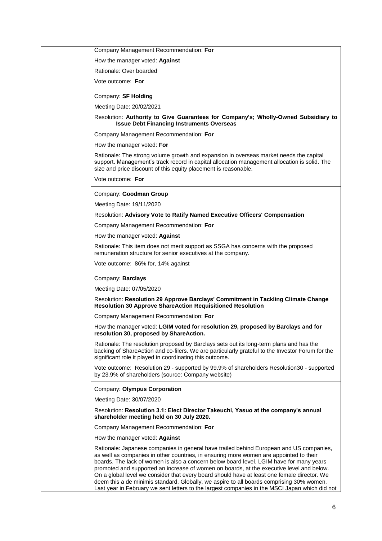Company Management Recommendation: **For** How the manager voted: **Against**  Rationale: Over boarded Vote outcome: **For** Company: **SF Holding** Meeting Date: 20/02/2021 Resolution: **Authority to Give Guarantees for Company's; Wholly-Owned Subsidiary to Issue Debt Financing Instruments Overseas** Company Management Recommendation: **For** How the manager voted: **For** Rationale: The strong volume growth and expansion in overseas market needs the capital support. Management's track record in capital allocation management allocation is solid. The size and price discount of this equity placement is reasonable. Vote outcome: **For** Company: **Goodman Group** Meeting Date: 19/11/2020 Resolution: **Advisory Vote to Ratify Named Executive Officers' Compensation** Company Management Recommendation: **For** How the manager voted: **Against**  Rationale: This item does not merit support as SSGA has concerns with the proposed remuneration structure for senior executives at the company. Vote outcome: 86% for, 14% against Company: **Barclays** Meeting Date: 07/05/2020 Resolution: **Resolution 29 Approve Barclays' Commitment in Tackling Climate Change Resolution 30 Approve ShareAction Requisitioned Resolution** Company Management Recommendation: **For** How the manager voted: **LGIM voted for resolution 29, proposed by Barclays and for resolution 30, proposed by ShareAction.** Rationale: The resolution proposed by Barclays sets out its long-term plans and has the backing of ShareAction and co-filers. We are particularly grateful to the Investor Forum for the significant role it played in coordinating this outcome. Vote outcome: Resolution 29 - supported by 99.9% of shareholders Resolution30 - supported by 23.9% of shareholders (source: Company website) Company: **Olympus Corporation** Meeting Date: 30/07/2020 Resolution: **Resolution 3.1: Elect Director Takeuchi, Yasuo at the company's annual shareholder meeting held on 30 July 2020.** Company Management Recommendation: **For** How the manager voted: **Against** Rationale: Japanese companies in general have trailed behind European and US companies, as well as companies in other countries, in ensuring more women are appointed to their boards. The lack of women is also a concern below board level. LGIM have for many years promoted and supported an increase of women on boards, at the executive level and below. On a global level we consider that every board should have at least one female director. We deem this a de minimis standard. Globally, we aspire to all boards comprising 30% women. Last year in February we sent letters to the largest companies in the MSCI Japan which did not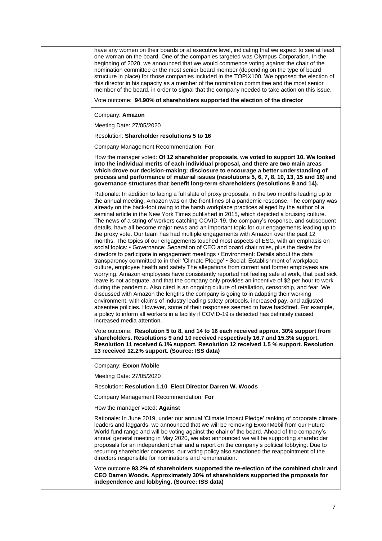have any women on their boards or at executive level, indicating that we expect to see at least one woman on the board. One of the companies targeted was Olympus Corporation. In the beginning of 2020, we announced that we would commence voting against the chair of the nomination committee or the most senior board member (depending on the type of board structure in place) for those companies included in the TOPIX100. We opposed the election of this director in his capacity as a member of the nomination committee and the most senior member of the board, in order to signal that the company needed to take action on this issue.

Vote outcome: **94.90% of shareholders supported the election of the director**

Company: **Amazon**

Meeting Date: 27/05/2020

Resolution: **Shareholder resolutions 5 to 16**

Company Management Recommendation: **For**

How the manager voted: **Of 12 shareholder proposals, we voted to support 10. We looked into the individual merits of each individual proposal, and there are two main areas which drove our decision-making: disclosure to encourage a better understanding of process and performance of material issues (resolutions 5, 6, 7, 8, 10, 13, 15 and 16) and governance structures that benefit long-term shareholders (resolutions 9 and 14).**

Rationale: In addition to facing a full slate of proxy proposals, in the two months leading up to the annual meeting, Amazon was on the front lines of a pandemic response. The company was already on the back-foot owing to the harsh workplace practices alleged by the author of a seminal article in the New York Times published in 2015, which depicted a bruising culture. The news of a string of workers catching COVID-19, the company's response, and subsequent details, have all become major news and an important topic for our engagements leading up to the proxy vote. Our team has had multiple engagements with Amazon over the past 12 months. The topics of our engagements touched most aspects of ESG, with an emphasis on social topics: • Governance: Separation of CEO and board chair roles, plus the desire for directors to participate in engagement meetings • Environment: Details about the data transparency committed to in their 'Climate Pledge' • Social: Establishment of workplace culture, employee health and safety The allegations from current and former employees are worrying. Amazon employees have consistently reported not feeling safe at work, that paid sick leave is not adequate, and that the company only provides an incentive of \$2 per hour to work during the pandemic. Also cited is an ongoing culture of retaliation, censorship, and fear. We discussed with Amazon the lengths the company is going to in adapting their working environment, with claims of industry leading safety protocols, increased pay, and adjusted absentee policies. However, some of their responses seemed to have backfired. For example, a policy to inform all workers in a facility if COVID-19 is detected has definitely caused increased media attention.

Vote outcome: **Resolution 5 to 8, and 14 to 16 each received approx. 30% support from shareholders. Resolutions 9 and 10 received respectively 16.7 and 15.3% support. Resolution 11 received 6.1% support. Resolution 12 received 1.5 % support. Resolution 13 received 12.2% support. (Source: ISS data)**

Company: **Exxon Mobile**

Meeting Date: 27/05/2020

Resolution: **Resolution 1.10 Elect Director Darren W. Woods**

Company Management Recommendation: **For**

How the manager voted: **Against**

Rationale: In June 2019, under our annual 'Climate Impact Pledge' ranking of corporate climate leaders and laggards, we announced that we will be removing ExxonMobil from our Future World fund range and will be voting against the chair of the board. Ahead of the company's annual general meeting in May 2020, we also announced we will be supporting shareholder proposals for an independent chair and a report on the company's political lobbying. Due to recurring shareholder concerns, our voting policy also sanctioned the reappointment of the directors responsible for nominations and remuneration.

Vote outcome **93.2% of shareholders supported the re-election of the combined chair and CEO Darren Woods. Approximately 30% of shareholders supported the proposals for independence and lobbying. (Source: ISS data)**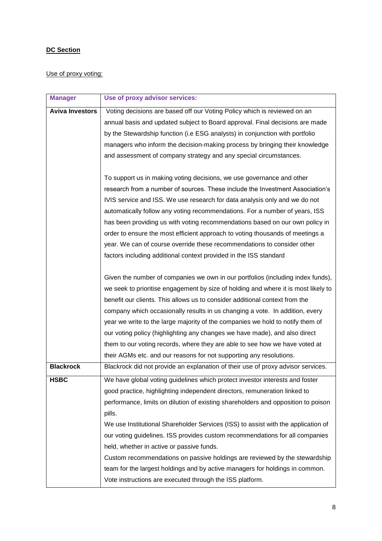# **DC Section**

# Use of proxy voting:

| <b>Manager</b>         | Use of proxy advisor services:                                                     |
|------------------------|------------------------------------------------------------------------------------|
| <b>Aviva Investors</b> | Voting decisions are based off our Voting Policy which is reviewed on an           |
|                        | annual basis and updated subject to Board approval. Final decisions are made       |
|                        | by the Stewardship function (i.e ESG analysts) in conjunction with portfolio       |
|                        | managers who inform the decision-making process by bringing their knowledge        |
|                        | and assessment of company strategy and any special circumstances.                  |
|                        |                                                                                    |
|                        | To support us in making voting decisions, we use governance and other              |
|                        | research from a number of sources. These include the Investment Association's      |
|                        | IVIS service and ISS. We use research for data analysis only and we do not         |
|                        | automatically follow any voting recommendations. For a number of years, ISS        |
|                        | has been providing us with voting recommendations based on our own policy in       |
|                        | order to ensure the most efficient approach to voting thousands of meetings a      |
|                        | year. We can of course override these recommendations to consider other            |
|                        | factors including additional context provided in the ISS standard                  |
|                        |                                                                                    |
|                        | Given the number of companies we own in our portfolios (including index funds),    |
|                        | we seek to prioritise engagement by size of holding and where it is most likely to |
|                        | benefit our clients. This allows us to consider additional context from the        |
|                        | company which occasionally results in us changing a vote. In addition, every       |
|                        | year we write to the large majority of the companies we hold to notify them of     |
|                        | our voting policy (highlighting any changes we have made), and also direct         |
|                        | them to our voting records, where they are able to see how we have voted at        |
|                        | their AGMs etc. and our reasons for not supporting any resolutions.                |
| <b>Blackrock</b>       | Blackrock did not provide an explanation of their use of proxy advisor services.   |
| <b>HSBC</b>            | We have global voting guidelines which protect investor interests and foster       |
|                        | good practice, highlighting independent directors, remuneration linked to          |
|                        | performance, limits on dilution of existing shareholders and opposition to poison  |
|                        | pills.                                                                             |
|                        | We use Institutional Shareholder Services (ISS) to assist with the application of  |
|                        | our voting guidelines. ISS provides custom recommendations for all companies       |
|                        | held, whether in active or passive funds.                                          |
|                        | Custom recommendations on passive holdings are reviewed by the stewardship         |
|                        | team for the largest holdings and by active managers for holdings in common.       |
|                        | Vote instructions are executed through the ISS platform.                           |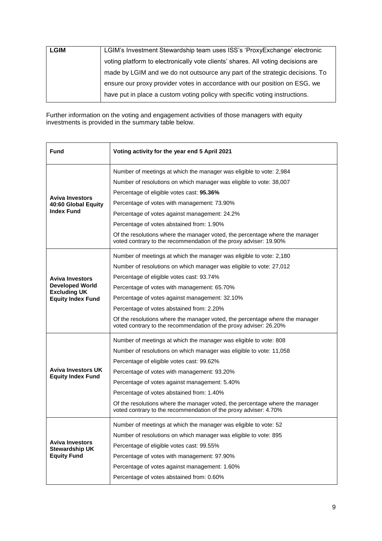| <b>LGIM</b> | LGIM's Investment Stewardship team uses ISS's 'ProxyExchange' electronic         |
|-------------|----------------------------------------------------------------------------------|
|             | voting platform to electronically vote clients' shares. All voting decisions are |
|             | made by LGIM and we do not outsource any part of the strategic decisions. To     |
|             | ensure our proxy provider votes in accordance with our position on ESG, we       |
|             | have put in place a custom voting policy with specific voting instructions.      |

Further information on the voting and engagement activities of those managers with equity investments is provided in the summary table below.

| Fund                                                  | Voting activity for the year end 5 April 2021                                                                                                     |
|-------------------------------------------------------|---------------------------------------------------------------------------------------------------------------------------------------------------|
|                                                       | Number of meetings at which the manager was eligible to vote: 2,984                                                                               |
|                                                       | Number of resolutions on which manager was eligible to vote: 38,007                                                                               |
|                                                       | Percentage of eligible votes cast: 95.36%                                                                                                         |
| <b>Aviva Investors</b><br>40:60 Global Equity         | Percentage of votes with management: 73.90%                                                                                                       |
| <b>Index Fund</b>                                     | Percentage of votes against management: 24.2%                                                                                                     |
|                                                       | Percentage of votes abstained from: 1.90%                                                                                                         |
|                                                       | Of the resolutions where the manager voted, the percentage where the manager<br>voted contrary to the recommendation of the proxy adviser: 19.90% |
|                                                       | Number of meetings at which the manager was eligible to vote: 2,180                                                                               |
|                                                       | Number of resolutions on which manager was eligible to vote: 27,012                                                                               |
| <b>Aviva Investors</b>                                | Percentage of eligible votes cast: 93.74%                                                                                                         |
| <b>Developed World</b><br><b>Excluding UK</b>         | Percentage of votes with management: 65.70%                                                                                                       |
| <b>Equity Index Fund</b>                              | Percentage of votes against management: 32.10%                                                                                                    |
|                                                       | Percentage of votes abstained from: 2.20%                                                                                                         |
|                                                       | Of the resolutions where the manager voted, the percentage where the manager<br>voted contrary to the recommendation of the proxy adviser: 26.20% |
|                                                       | Number of meetings at which the manager was eligible to vote: 808                                                                                 |
|                                                       | Number of resolutions on which manager was eligible to vote: 11,058                                                                               |
|                                                       | Percentage of eligible votes cast: 99.62%                                                                                                         |
| <b>Aviva Investors UK</b><br><b>Equity Index Fund</b> | Percentage of votes with management: 93.20%                                                                                                       |
|                                                       | Percentage of votes against management: 5.40%                                                                                                     |
|                                                       | Percentage of votes abstained from: 1.40%                                                                                                         |
|                                                       | Of the resolutions where the manager voted, the percentage where the manager<br>voted contrary to the recommendation of the proxy adviser: 4.70%  |
|                                                       | Number of meetings at which the manager was eligible to vote: 52                                                                                  |
|                                                       | Number of resolutions on which manager was eligible to vote: 895                                                                                  |
| <b>Aviva Investors</b><br><b>Stewardship UK</b>       | Percentage of eligible votes cast: 99.55%                                                                                                         |
| <b>Equity Fund</b>                                    | Percentage of votes with management: 97.90%                                                                                                       |
|                                                       | Percentage of votes against management: 1.60%                                                                                                     |
|                                                       | Percentage of votes abstained from: 0.60%                                                                                                         |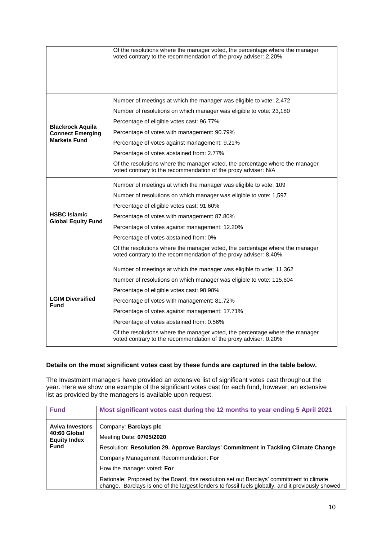|                                                                           | Of the resolutions where the manager voted, the percentage where the manager<br>voted contrary to the recommendation of the proxy adviser: 2.20%                                                                                                                                                                                                                                                                                                                                            |
|---------------------------------------------------------------------------|---------------------------------------------------------------------------------------------------------------------------------------------------------------------------------------------------------------------------------------------------------------------------------------------------------------------------------------------------------------------------------------------------------------------------------------------------------------------------------------------|
| <b>Blackrock Aquila</b><br><b>Connect Emerging</b><br><b>Markets Fund</b> | Number of meetings at which the manager was eligible to vote: 2,472<br>Number of resolutions on which manager was eligible to vote: 23,180<br>Percentage of eligible votes cast: 96.77%<br>Percentage of votes with management: 90.79%<br>Percentage of votes against management: 9.21%<br>Percentage of votes abstained from: 2.77%<br>Of the resolutions where the manager voted, the percentage where the manager<br>voted contrary to the recommendation of the proxy adviser: N/A      |
| <b>HSBC Islamic</b><br><b>Global Equity Fund</b>                          | Number of meetings at which the manager was eligible to vote: 109<br>Number of resolutions on which manager was eligible to vote: 1,597<br>Percentage of eligible votes cast: 91.60%<br>Percentage of votes with management: 87.80%<br>Percentage of votes against management: 12.20%<br>Percentage of votes abstained from: 0%<br>Of the resolutions where the manager voted, the percentage where the manager<br>voted contrary to the recommendation of the proxy adviser: 8.40%         |
| <b>LGIM Diversified</b><br><b>Fund</b>                                    | Number of meetings at which the manager was eligible to vote: 11,362<br>Number of resolutions on which manager was eligible to vote: 115,604<br>Percentage of eligible votes cast: 98.98%<br>Percentage of votes with management: 81.72%<br>Percentage of votes against management: 17.71%<br>Percentage of votes abstained from: 0.56%<br>Of the resolutions where the manager voted, the percentage where the manager<br>voted contrary to the recommendation of the proxy adviser: 0.20% |

## **Details on the most significant votes cast by these funds are captured in the table below.**

The Investment managers have provided an extensive list of significant votes cast throughout the year. Here we show one example of the significant votes cast for each fund, however, an extensive list as provided by the managers is available upon request.

| Most significant votes cast during the 12 months to year ending 5 April 2021                                                                                                                                                                                                                                                                                                                                                                                                                      |  |
|---------------------------------------------------------------------------------------------------------------------------------------------------------------------------------------------------------------------------------------------------------------------------------------------------------------------------------------------------------------------------------------------------------------------------------------------------------------------------------------------------|--|
| <b>Aviva Investors</b><br>Company: Barclays plc<br>40:60 Global<br>Meeting Date: 07/05/2020<br><b>Equity Index</b><br><b>Fund</b><br>Resolution: Resolution 29. Approve Barclays' Commitment in Tackling Climate Change<br>Company Management Recommendation: For<br>How the manager voted: For<br>Rationale: Proposed by the Board, this resolution set out Barclays' commitment to climate<br>change. Barclays is one of the largest lenders to fossil fuels globally, and it previously showed |  |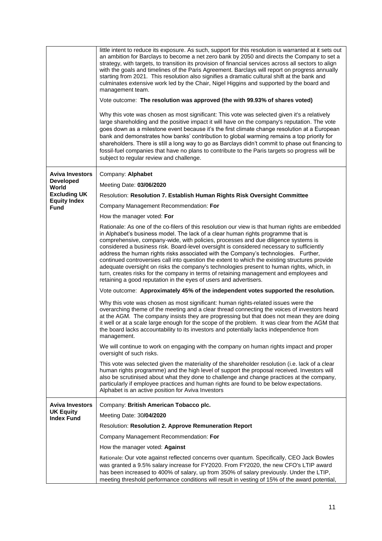|                                                                                                                  | little intent to reduce its exposure. As such, support for this resolution is warranted at it sets out<br>an ambition for Barclays to become a net zero bank by 2050 and directs the Company to set a<br>strategy, with targets, to transition its provision of financial services across all sectors to align<br>with the goals and timelines of the Paris Agreement. Barclays will report on progress annually<br>starting from 2021. This resolution also signifies a dramatic cultural shift at the bank and<br>culminates extensive work led by the Chair, Nigel Higgins and supported by the board and<br>management team.<br>Vote outcome: The resolution was approved (the with 99.93% of shares voted)<br>Why this vote was chosen as most significant: This vote was selected given it's a relatively<br>large shareholding and the positive impact it will have on the company's reputation. The vote<br>goes down as a milestone event because it's the first climate change resolution at a European<br>bank and demonstrates how banks' contribution to global warming remains a top priority for<br>shareholders. There is still a long way to go as Barclays didn't commit to phase out financing to<br>fossil-fuel companies that have no plans to contribute to the Paris targets so progress will be<br>subject to regular review and challenge.                                                                                                                                                                                                                                                                                                                                                                                                                                                                                                                                                                                                                                                                                                                                                                                                                                |
|------------------------------------------------------------------------------------------------------------------|----------------------------------------------------------------------------------------------------------------------------------------------------------------------------------------------------------------------------------------------------------------------------------------------------------------------------------------------------------------------------------------------------------------------------------------------------------------------------------------------------------------------------------------------------------------------------------------------------------------------------------------------------------------------------------------------------------------------------------------------------------------------------------------------------------------------------------------------------------------------------------------------------------------------------------------------------------------------------------------------------------------------------------------------------------------------------------------------------------------------------------------------------------------------------------------------------------------------------------------------------------------------------------------------------------------------------------------------------------------------------------------------------------------------------------------------------------------------------------------------------------------------------------------------------------------------------------------------------------------------------------------------------------------------------------------------------------------------------------------------------------------------------------------------------------------------------------------------------------------------------------------------------------------------------------------------------------------------------------------------------------------------------------------------------------------------------------------------------------------------------------------------------------------------------------------------------|
| <b>Aviva Investors</b><br><b>Developed</b><br>World<br><b>Excluding UK</b><br><b>Equity Index</b><br><b>Fund</b> | Company: Alphabet<br>Meeting Date: 03/06/2020<br>Resolution: Resolution 7. Establish Human Rights Risk Oversight Committee<br>Company Management Recommendation: For<br>How the manager voted: For<br>Rationale: As one of the co-filers of this resolution our view is that human rights are embedded<br>in Alphabet's business model. The lack of a clear human rights programme that is<br>comprehensive, company-wide, with policies, processes and due diligence systems is<br>considered a business risk. Board-level oversight is considered necessary to sufficiently<br>address the human rights risks associated with the Company's technologies. Further,<br>continued controversies call into question the extent to which the existing structures provide<br>adequate oversight on risks the company's technologies present to human rights, which, in<br>turn, creates risks for the company in terms of retaining management and employees and<br>retaining a good reputation in the eyes of users and advertisers.<br>Vote outcome: Approximately 45% of the independent votes supported the resolution.<br>Why this vote was chosen as most significant: human rights-related issues were the<br>overarching theme of the meeting and a clear thread connecting the voices of investors heard<br>at the AGM. The company insists they are progressing but that does not mean they are doing<br>it well or at a scale large enough for the scope of the problem. It was clear from the AGM that<br>the board lacks accountability to its investors and potentially lacks independence from<br>management.<br>We will continue to work on engaging with the company on human rights impact and proper<br>oversight of such risks.<br>This vote was selected given the materiality of the shareholder resolution (i.e. lack of a clear<br>human rights programme) and the high level of support the proposal received. Investors will<br>also be scrutinised about what they done to challenge and change practices at the company,<br>particularly if employee practices and human rights are found to be below expectations.<br>Alphabet is an active position for Aviva Investors |
| <b>Aviva Investors</b><br><b>UK Equity</b><br><b>Index Fund</b>                                                  | Company: British American Tobacco plc.<br>Meeting Date: 30/04/2020<br>Resolution: Resolution 2. Approve Remuneration Report<br>Company Management Recommendation: For<br>How the manager voted: Against<br>Rationale: Our vote against reflected concerns over quantum. Specifically, CEO Jack Bowles<br>was granted a 9.5% salary increase for FY2020. From FY2020, the new CFO's LTIP award<br>has been increased to 400% of salary, up from 350% of salary previously. Under the LTIP,<br>meeting threshold performance conditions will result in vesting of 15% of the award potential,                                                                                                                                                                                                                                                                                                                                                                                                                                                                                                                                                                                                                                                                                                                                                                                                                                                                                                                                                                                                                                                                                                                                                                                                                                                                                                                                                                                                                                                                                                                                                                                                        |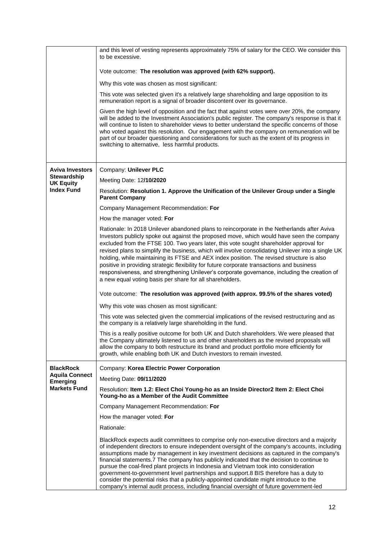|                                          | and this level of vesting represents approximately 75% of salary for the CEO. We consider this<br>to be excessive.                                                                                                                                                                                                                                                                                                                                                                                                                                                                                                                                                                                                                                            |
|------------------------------------------|---------------------------------------------------------------------------------------------------------------------------------------------------------------------------------------------------------------------------------------------------------------------------------------------------------------------------------------------------------------------------------------------------------------------------------------------------------------------------------------------------------------------------------------------------------------------------------------------------------------------------------------------------------------------------------------------------------------------------------------------------------------|
|                                          | Vote outcome: The resolution was approved (with 62% support).                                                                                                                                                                                                                                                                                                                                                                                                                                                                                                                                                                                                                                                                                                 |
|                                          | Why this vote was chosen as most significant:                                                                                                                                                                                                                                                                                                                                                                                                                                                                                                                                                                                                                                                                                                                 |
|                                          | This vote was selected given it's a relatively large shareholding and large opposition to its<br>remuneration report is a signal of broader discontent over its governance.                                                                                                                                                                                                                                                                                                                                                                                                                                                                                                                                                                                   |
|                                          | Given the high level of opposition and the fact that against votes were over 20%, the company<br>will be added to the Investment Association's public register. The company's response is that it<br>will continue to listen to shareholder views to better understand the specific concerns of those<br>who voted against this resolution. Our engagement with the company on remuneration will be<br>part of our broader questioning and considerations for such as the extent of its progress in<br>switching to alternative, less harmful products.                                                                                                                                                                                                       |
| <b>Aviva Investors</b>                   | Company: Unilever PLC                                                                                                                                                                                                                                                                                                                                                                                                                                                                                                                                                                                                                                                                                                                                         |
| Stewardship<br><b>UK Equity</b>          | Meeting Date: 12/10/2020                                                                                                                                                                                                                                                                                                                                                                                                                                                                                                                                                                                                                                                                                                                                      |
| <b>Index Fund</b>                        | Resolution: Resolution 1. Approve the Unification of the Unilever Group under a Single<br><b>Parent Company</b>                                                                                                                                                                                                                                                                                                                                                                                                                                                                                                                                                                                                                                               |
|                                          | Company Management Recommendation: For                                                                                                                                                                                                                                                                                                                                                                                                                                                                                                                                                                                                                                                                                                                        |
|                                          | How the manager voted: For                                                                                                                                                                                                                                                                                                                                                                                                                                                                                                                                                                                                                                                                                                                                    |
|                                          | Rationale: In 2018 Unilever abandoned plans to reincorporate in the Netherlands after Aviva<br>Investors publicly spoke out against the proposed move, which would have seen the company<br>excluded from the FTSE 100. Two years later, this vote sought shareholder approval for<br>revised plans to simplify the business, which will involve consolidating Unilever into a single UK<br>holding, while maintaining its FTSE and AEX index position. The revised structure is also<br>positive in providing strategic flexibility for future corporate transactions and business<br>responsiveness, and strengthening Unilever's corporate governance, including the creation of<br>a new equal voting basis per share for all shareholders.               |
|                                          | Vote outcome: The resolution was approved (with approx. 99.5% of the shares voted)                                                                                                                                                                                                                                                                                                                                                                                                                                                                                                                                                                                                                                                                            |
|                                          | Why this vote was chosen as most significant:                                                                                                                                                                                                                                                                                                                                                                                                                                                                                                                                                                                                                                                                                                                 |
|                                          | This vote was selected given the commercial implications of the revised restructuring and as<br>the company is a relatively large shareholding in the fund.                                                                                                                                                                                                                                                                                                                                                                                                                                                                                                                                                                                                   |
|                                          | This is a really positive outcome for both UK and Dutch shareholders. We were pleased that<br>the Company ultimately listened to us and other shareholders as the revised proposals will<br>allow the company to both restructure its brand and product portfolio more efficiently for<br>growth, while enabling both UK and Dutch investors to remain invested.                                                                                                                                                                                                                                                                                                                                                                                              |
| <b>BlackRock</b>                         | Company: Korea Electric Power Corporation                                                                                                                                                                                                                                                                                                                                                                                                                                                                                                                                                                                                                                                                                                                     |
| <b>Aquila Connect</b><br><b>Emerging</b> | Meeting Date: 09/11/2020                                                                                                                                                                                                                                                                                                                                                                                                                                                                                                                                                                                                                                                                                                                                      |
| <b>Markets Fund</b>                      | Resolution: Item 1.2: Elect Choi Young-ho as an Inside Director2 Item 2: Elect Choi<br>Young-ho as a Member of the Audit Committee                                                                                                                                                                                                                                                                                                                                                                                                                                                                                                                                                                                                                            |
|                                          | Company Management Recommendation: For                                                                                                                                                                                                                                                                                                                                                                                                                                                                                                                                                                                                                                                                                                                        |
|                                          | How the manager voted: For                                                                                                                                                                                                                                                                                                                                                                                                                                                                                                                                                                                                                                                                                                                                    |
|                                          | Rationale:                                                                                                                                                                                                                                                                                                                                                                                                                                                                                                                                                                                                                                                                                                                                                    |
|                                          | BlackRock expects audit committees to comprise only non-executive directors and a majority<br>of independent directors to ensure independent oversight of the company's accounts, including<br>assumptions made by management in key investment decisions as captured in the company's<br>financial statements.7 The company has publicly indicated that the decision to continue to<br>pursue the coal-fired plant projects in Indonesia and Vietnam took into consideration<br>government-to-government level partnerships and support.8 BIS therefore has a duty to<br>consider the potential risks that a publicly-appointed candidate might introduce to the<br>company's internal audit process, including financial oversight of future government-led |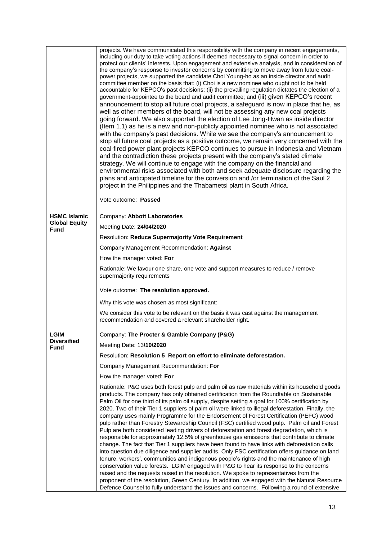|                                             | projects. We have communicated this responsibility with the company in recent engagements,<br>including our duty to take voting actions if deemed necessary to signal concern in order to<br>protect our clients' interests. Upon engagement and extensive analysis, and in consideration of<br>the company's response to investor concerns by committing to move away from future coal-<br>power projects, we supported the candidate Choi Young-ho as an inside director and audit<br>committee member on the basis that: (i) Choi is a new nominee who ought not to be held<br>accountable for KEPCO's past decisions; (ii) the prevailing regulation dictates the election of a<br>government-appointee to the board and audit committee; and (iii) given KEPCO's recent<br>announcement to stop all future coal projects, a safeguard is now in place that he, as<br>well as other members of the board, will not be assessing any new coal projects<br>going forward. We also supported the election of Lee Jong-Hwan as inside director<br>(Item 1.1) as he is a new and non-publicly appointed nominee who is not associated<br>with the company's past decisions. While we see the company's announcement to<br>stop all future coal projects as a positive outcome, we remain very concerned with the<br>coal-fired power plant projects KEPCO continues to pursue in Indonesia and Vietnam<br>and the contradiction these projects present with the company's stated climate<br>strategy. We will continue to engage with the company on the financial and<br>environmental risks associated with both and seek adequate disclosure regarding the<br>plans and anticipated timeline for the conversion and /or termination of the Saul 2<br>project in the Philippines and the Thabametsi plant in South Africa.<br>Vote outcome: Passed |
|---------------------------------------------|-----------------------------------------------------------------------------------------------------------------------------------------------------------------------------------------------------------------------------------------------------------------------------------------------------------------------------------------------------------------------------------------------------------------------------------------------------------------------------------------------------------------------------------------------------------------------------------------------------------------------------------------------------------------------------------------------------------------------------------------------------------------------------------------------------------------------------------------------------------------------------------------------------------------------------------------------------------------------------------------------------------------------------------------------------------------------------------------------------------------------------------------------------------------------------------------------------------------------------------------------------------------------------------------------------------------------------------------------------------------------------------------------------------------------------------------------------------------------------------------------------------------------------------------------------------------------------------------------------------------------------------------------------------------------------------------------------------------------------------------------------------------------------------------------------------------------------------------------------|
| <b>HSMC Islamic</b><br><b>Global Equity</b> | Company: Abbott Laboratories                                                                                                                                                                                                                                                                                                                                                                                                                                                                                                                                                                                                                                                                                                                                                                                                                                                                                                                                                                                                                                                                                                                                                                                                                                                                                                                                                                                                                                                                                                                                                                                                                                                                                                                                                                                                                        |
| <b>Fund</b>                                 | Meeting Date: 24/04/2020                                                                                                                                                                                                                                                                                                                                                                                                                                                                                                                                                                                                                                                                                                                                                                                                                                                                                                                                                                                                                                                                                                                                                                                                                                                                                                                                                                                                                                                                                                                                                                                                                                                                                                                                                                                                                            |
|                                             | Resolution: Reduce Supermajority Vote Requirement                                                                                                                                                                                                                                                                                                                                                                                                                                                                                                                                                                                                                                                                                                                                                                                                                                                                                                                                                                                                                                                                                                                                                                                                                                                                                                                                                                                                                                                                                                                                                                                                                                                                                                                                                                                                   |
|                                             | Company Management Recommendation: Against                                                                                                                                                                                                                                                                                                                                                                                                                                                                                                                                                                                                                                                                                                                                                                                                                                                                                                                                                                                                                                                                                                                                                                                                                                                                                                                                                                                                                                                                                                                                                                                                                                                                                                                                                                                                          |
|                                             | How the manager voted: For                                                                                                                                                                                                                                                                                                                                                                                                                                                                                                                                                                                                                                                                                                                                                                                                                                                                                                                                                                                                                                                                                                                                                                                                                                                                                                                                                                                                                                                                                                                                                                                                                                                                                                                                                                                                                          |
|                                             | Rationale: We favour one share, one vote and support measures to reduce / remove<br>supermajority requirements                                                                                                                                                                                                                                                                                                                                                                                                                                                                                                                                                                                                                                                                                                                                                                                                                                                                                                                                                                                                                                                                                                                                                                                                                                                                                                                                                                                                                                                                                                                                                                                                                                                                                                                                      |
|                                             | Vote outcome: The resolution approved.                                                                                                                                                                                                                                                                                                                                                                                                                                                                                                                                                                                                                                                                                                                                                                                                                                                                                                                                                                                                                                                                                                                                                                                                                                                                                                                                                                                                                                                                                                                                                                                                                                                                                                                                                                                                              |
|                                             | Why this vote was chosen as most significant:                                                                                                                                                                                                                                                                                                                                                                                                                                                                                                                                                                                                                                                                                                                                                                                                                                                                                                                                                                                                                                                                                                                                                                                                                                                                                                                                                                                                                                                                                                                                                                                                                                                                                                                                                                                                       |
|                                             | We consider this vote to be relevant on the basis it was cast against the management<br>recommendation and covered a relevant shareholder right.                                                                                                                                                                                                                                                                                                                                                                                                                                                                                                                                                                                                                                                                                                                                                                                                                                                                                                                                                                                                                                                                                                                                                                                                                                                                                                                                                                                                                                                                                                                                                                                                                                                                                                    |
| <b>LGIM</b>                                 | Company: The Procter & Gamble Company (P&G)                                                                                                                                                                                                                                                                                                                                                                                                                                                                                                                                                                                                                                                                                                                                                                                                                                                                                                                                                                                                                                                                                                                                                                                                                                                                                                                                                                                                                                                                                                                                                                                                                                                                                                                                                                                                         |
| <b>Diversified</b><br><b>Fund</b>           | Meeting Date: 13/10/2020                                                                                                                                                                                                                                                                                                                                                                                                                                                                                                                                                                                                                                                                                                                                                                                                                                                                                                                                                                                                                                                                                                                                                                                                                                                                                                                                                                                                                                                                                                                                                                                                                                                                                                                                                                                                                            |
|                                             | Resolution: Resolution 5 Report on effort to eliminate deforestation.                                                                                                                                                                                                                                                                                                                                                                                                                                                                                                                                                                                                                                                                                                                                                                                                                                                                                                                                                                                                                                                                                                                                                                                                                                                                                                                                                                                                                                                                                                                                                                                                                                                                                                                                                                               |
|                                             | Company Management Recommendation: For                                                                                                                                                                                                                                                                                                                                                                                                                                                                                                                                                                                                                                                                                                                                                                                                                                                                                                                                                                                                                                                                                                                                                                                                                                                                                                                                                                                                                                                                                                                                                                                                                                                                                                                                                                                                              |
|                                             | How the manager voted: For                                                                                                                                                                                                                                                                                                                                                                                                                                                                                                                                                                                                                                                                                                                                                                                                                                                                                                                                                                                                                                                                                                                                                                                                                                                                                                                                                                                                                                                                                                                                                                                                                                                                                                                                                                                                                          |
|                                             | Rationale: P&G uses both forest pulp and palm oil as raw materials within its household goods<br>products. The company has only obtained certification from the Roundtable on Sustainable<br>Palm Oil for one third of its palm oil supply, despite setting a goal for 100% certification by<br>2020. Two of their Tier 1 suppliers of palm oil were linked to illegal deforestation. Finally, the<br>company uses mainly Programme for the Endorsement of Forest Certification (PEFC) wood<br>pulp rather than Forestry Stewardship Council (FSC) certified wood pulp. Palm oil and Forest<br>Pulp are both considered leading drivers of deforestation and forest degradation, which is<br>responsible for approximately 12.5% of greenhouse gas emissions that contribute to climate<br>change. The fact that Tier 1 suppliers have been found to have links with deforestation calls<br>into question due diligence and supplier audits. Only FSC certification offers guidance on land<br>tenure, workers', communities and indigenous people's rights and the maintenance of high<br>conservation value forests. LGIM engaged with P&G to hear its response to the concerns<br>raised and the requests raised in the resolution. We spoke to representatives from the<br>proponent of the resolution, Green Century. In addition, we engaged with the Natural Resource<br>Defence Counsel to fully understand the issues and concerns. Following a round of extensive                                                                                                                                                                                                                                                                                                                                                                         |